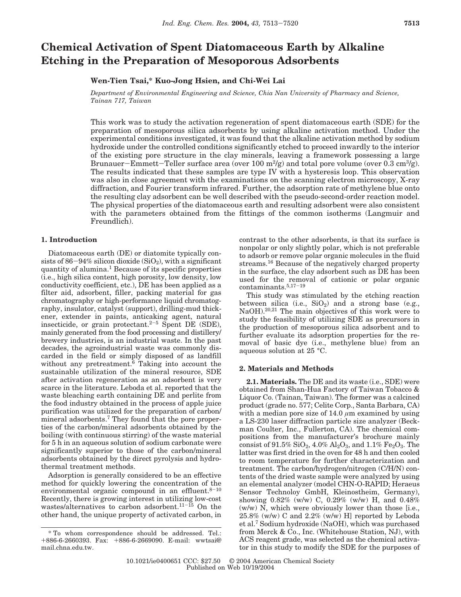# **Chemical Activation of Spent Diatomaceous Earth by Alkaline Etching in the Preparation of Mesoporous Adsorbents**

## **Wen-Tien Tsai,\* Kuo-Jong Hsien, and Chi-Wei Lai**

*Department of Environmental Engineering and Science, Chia Nan University of Pharmacy and Science, Tainan 717, Taiwan*

This work was to study the activation regeneration of spent diatomaceous earth (SDE) for the preparation of mesoporous silica adsorbents by using alkaline activation method. Under the experimental conditions investigated, it was found that the alkaline activation method by sodium hydroxide under the controlled conditions significantly etched to proceed inwardly to the interior of the existing pore structure in the clay minerals, leaving a framework possessing a large Brunauer-Emmett-Teller surface area (over 100 m<sup>2</sup>/g) and total pore volume (over 0.3 cm<sup>3</sup>/g). The results indicated that these samples are type IV with a hysteresis loop. This observation was also in close agreement with the examinations on the scanning electron microscopy, X-ray diffraction, and Fourier transform infrared. Further, the adsorption rate of methylene blue onto the resulting clay adsorbent can be well described with the pseudo-second-order reaction model. The physical properties of the diatomaceous earth and resulting adsorbent were also consistent with the parameters obtained from the fittings of the common isotherms (Langmuir and Freundlich).

### **1. Introduction**

Diatomaceous earth (DE) or diatomite typically consists of  $86-94\%$  silicon dioxide (SiO<sub>2</sub>), with a significant quantity of alumina.1 Because of its specific properties (i.e., high silica content, high porosity, low density, low conductivity coefficient, etc.), DE has been applied as a filter aid, adsorbent, filler, packing material for gas chromatography or high-performance liquid chromatography, insulator, catalyst (support), drilling-mud thickener, extender in paints, anticaking agent, natural insecticide, or grain protectant. $2-5$  Spent DE (SDE), mainly generated from the food processing and distillery/ brewery industries, is an industrial waste. In the past decades, the agroindustrial waste was commonly discarded in the field or simply disposed of as landfill without any pretreatment.<sup> $6$ </sup> Taking into account the sustainable utilization of the mineral resource, SDE after activation regeneration as an adsorbent is very scarce in the literature. Leboda et al. reported that the waste bleaching earth containing DE and perlite from the food industry obtained in the process of apple juice purification was utilized for the preparation of carbon/ mineral adsorbents.7 They found that the pore properties of the carbon/mineral adsorbents obtained by the boiling (with continuous stirring) of the waste material for 5 h in an aqueous solution of sodium carbonate were significantly superior to those of the carbon/mineral adsorbents obtained by the direct pyrolysis and hydrothermal treatment methods.

Adsorption is generally considered to be an effective method for quickly lowering the concentration of the environmental organic compound in an effluent. $8-10$ Recently, there is growing interest in utilizing low-cost wastes/alternatives to carbon adsorbent.<sup>11-15</sup> On the other hand, the unique property of activated carbon, in contrast to the other adsorbents, is that its surface is nonpolar or only slightly polar, which is not preferable to adsorb or remove polar organic molecules in the fluid streams.16 Because of the negatively charged property in the surface, the clay adsorbent such as DE has been used for the removal of cationic or polar organic contaminants.5,17-<sup>19</sup>

This study was stimulated by the etching reaction between silica (i.e.,  $SiO<sub>2</sub>$ ) and a strong base (e.g., NaOH).20,21 The main objectives of this work were to study the feasibility of utilizing SDE as precursors in the production of mesoporous silica adsorbent and to further evaluate its adsorption properties for the removal of basic dye (i.e., methylene blue) from an aqueous solution at 25 °C.

#### **2. Materials and Methods**

**2.1. Materials.** The DE and its waste (i.e., SDE) were obtained from Shan-Hua Factory of Taiwan Tobacco & Liquor Co. (Tainan, Taiwan). The former was a calcined product (grade no. 577; Celite Corp., Santa Barbara, CA) with a median pore size of  $14.0 \mu m$  examined by using a LS-230 laser diffraction particle size analyzer (Beckman Coulter, Inc., Fullerton, CA). The chemical compositions from the manufacturer's brochure mainly consist of 91.5%  $SiO_2$ , 4.0%  $Al_2O_3$ , and 1.1%  $Fe_2O_3$ . The latter was first dried in the oven for 48 h and then cooled to room temperature for further characterization and treatment. The carbon/hydrogen/nitrogen (C/H/N) contents of the dried waste sample were analyzed by using an elemental analyzer (model CHN-O-RAPID; Heraeus Sensor Technoloy GmbH, Kleinostheim, Germany), showing 0.82% (w/w) C, 0.29% (w/w) H, and 0.48% (w/w) N, which were obviously lower than those [i.e.,  $25.8\%$  (w/w) C and  $2.2\%$  (w/w) H] reported by Leboda et al.7 Sodium hydroxide (NaOH), which was purchased from Merck & Co., Inc. (Whitehouse Station, NJ), with ACS reagent grade, was selected as the chemical activator in this study to modify the SDE for the purposes of

<sup>\*</sup> To whom correspondence should be addressed. Tel.: +886-6-2660393. Fax: +886-6-2669090. E-mail: wwtsai@ mail.chna.edu.tw.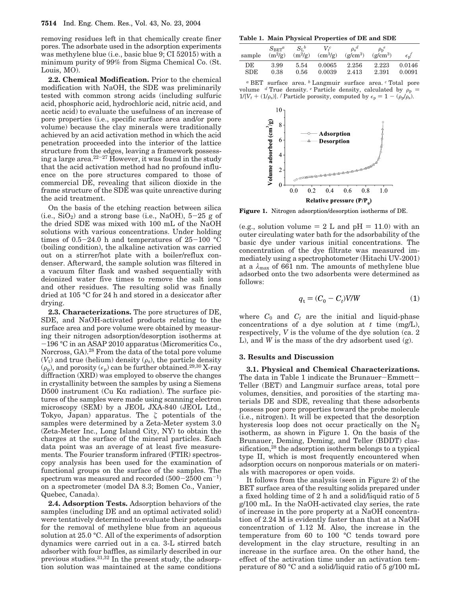removing residues left in that chemically create finer pores. The adsorbate used in the adsorption experiments was methylene blue (i.e., basic blue 9; CI 52015) with a minimum purity of 99% from Sigma Chemical Co. (St. Louis, MO).

**2.2. Chemical Modification.** Prior to the chemical modification with NaOH, the SDE was preliminarily tested with common strong acids (including sulfuric acid, phosphoric acid, hydrochloric acid, nitric acid, and acetic acid) to evaluate the usefulness of an increase of pore properties (i.e., specific surface area and/or pore volume) because the clay minerals were traditionally achieved by an acid activation method in which the acid penetration proceeded into the interior of the lattice structure from the edges, leaving a framework possessing a large area.<sup>22-27</sup> However, it was found in the study that the acid activation method had no profound influence on the pore structures compared to those of commercial DE, revealing that silicon dioxide in the frame structure of the SDE was quite unreactive during the acid treatment.

On the basis of the etching reaction between silica  $(i.e., SiO<sub>2</sub>)$  and a strong base (i.e., NaOH),  $5-25$  g of the dried SDE was mixed with 100 mL of the NaOH solutions with various concentrations. Under holding times of  $0.5-24.0$  h and temperatures of  $25-100$  °C (boiling condition), the alkaline activation was carried out on a stirrer/hot plate with a boiler/reflux condenser. Afterward, the sample solution was filtered in a vacuum filter flask and washed sequentially with deionized water five times to remove the salt ions and other residues. The resulting solid was finally dried at 105 °C for 24 h and stored in a desiccator after drying.

**2.3. Characterizations.** The pore structures of DE, SDE, and NaOH-activated products relating to the surface area and pore volume were obtained by measuring their nitrogen adsorption/desorption isotherms at -196 °C in an ASAP 2010 apparatus (Micromeritics Co., Norcross, GA).28 From the data of the total pore volume  $(V_t)$  and true (helium) density  $(\rho_s)$ , the particle density  $(\rho_p)$ , and porosity  $(\epsilon_p)$  can be further obtained.<sup>29,30</sup> X-ray diffraction (XRD) was employed to observe the changes in crystallinity between the samples by using a Siemens D500 instrument (Cu K $\alpha$  radiation). The surface pictures of the samples were made using scanning electron microscopy (SEM) by a JEOL JXA-840 (JEOL Ltd., Tokyo, Japan) apparatus. The *ζ* potentials of the samples were determined by a Zeta-Meter system 3.0 (Zeta-Meter Inc., Long Island City, NY) to obtain the charges at the surface of the mineral particles. Each data point was an average of at least five measurements. The Fourier transform infrared (FTIR) spectroscopy analysis has been used for the examination of functional groups on the surface of the samples. The spectrum was measured and recorded  $(500-2500 \text{ cm}^{-1})$ on a spectrometer (model DA 8.3; Bomen Co., Vanier, Quebec, Canada).

**2.4. Adsorption Tests.** Adsorption behaviors of the samples (including DE and an optimal activated solid) were tentatively determined to evaluate their potentials for the removal of methylene blue from an aqueous solution at 25.0 °C. All of the experiments of adsorption dynamics were carried out in a ca. 3-L stirred batch adsorber with four baffles, as similarly described in our previous studies.31,32 In the present study, the adsorption solution was maintained at the same conditions

**Table 1. Main Physical Properties of DE and SDE**

| sample    | $S_{\rm EFT}^a$<br>$(m^2/g)$ | $S_1{}^b$<br>$(m^2/g)$ | V.c<br>$\rm (cm^3/g)$ | $\rho_s^d$<br>$(g/cm^3)$ | $\rho_p^e$<br>$(g/cm^3)$ | $\epsilon_{\rm n}$ |
|-----------|------------------------------|------------------------|-----------------------|--------------------------|--------------------------|--------------------|
| DE<br>SDE | 3.99<br>0.38                 | 5.54<br>0.56           | 0.0065<br>0.0039      | 2.256<br>2.413           | 2.223<br>2.391           | 0.0146<br>0.0091   |

*<sup>a</sup>* BET surface area. *<sup>b</sup>* Langmuir surface area. *<sup>c</sup>* Total pore volume  $d$  True density.  $e$  Particle density, calculated by  $\rho_p$  =  $1/[V_t + (1/\rho_s)]$ . *f* Particle porosity, computed by  $\epsilon_p = 1 - (\rho_p/\rho_s)$ .



**Figure 1.** Nitrogen adsorption/desorption isotherms of DE.

(e.g., solution volume  $= 2$  L and pH  $= 11.0$ ) with an outer circulating water bath for the adsorbability of the basic dye under various initial concentrations. The concentration of the dye filtrate was measured immediately using a spectrophotometer (Hitachi UV-2001) at a  $\lambda_{\text{max}}$  of 661 nm. The amounts of methylene blue adsorbed onto the two adsorbents were determined as follows:

$$
q_t = (C_0 - C_t) V / W \tag{1}
$$

where  $C_0$  and  $C_t$  are the initial and liquid-phase concentrations of a dye solution at *t* time (mg/L), respectively, *V* is the volume of the dye solution (ca. 2 L), and *W* is the mass of the dry adsorbent used (g).

#### **3. Results and Discussion**

**3.1. Physical and Chemical Characterizations.** The data in Table 1 indicate the Brunauer-Emmett-Teller (BET) and Langmuir surface areas, total pore volumes, densities, and porosities of the starting materials DE and SDE, revealing that these adsorbents possess poor pore properties toward the probe molecule (i.e., nitrogen). It will be expected that the desorption hysteresis loop does not occur practically on the  $N_2$ isotherm, as shown in Figure 1. On the basis of the Brunauer, Deming, Deming, and Teller (BDDT) classification,<sup>28</sup> the adsorption isotherm belongs to a typical type II, which is most frequently encountered when adsorption occurs on nonporous materials or on materials with macropores or open voids.

It follows from the analysis (seen in Figure 2) of the BET surface area of the resulting solids prepared under a fixed holding time of 2 h and a solid/liquid ratio of 5 g/100 mL. In the NaOH-activated clay series, the rate of increase in the pore property at a NaOH concentration of 2.24 M is evidently faster than that at a NaOH concentration of 1.12 M. Also, the increase in the temperature from 60 to 100 °C tends toward pore development in the clay structure, resulting in an increase in the surface area. On the other hand, the effect of the activation time under an activation temperature of 80 °C and a solid/liquid ratio of 5 g/100 mL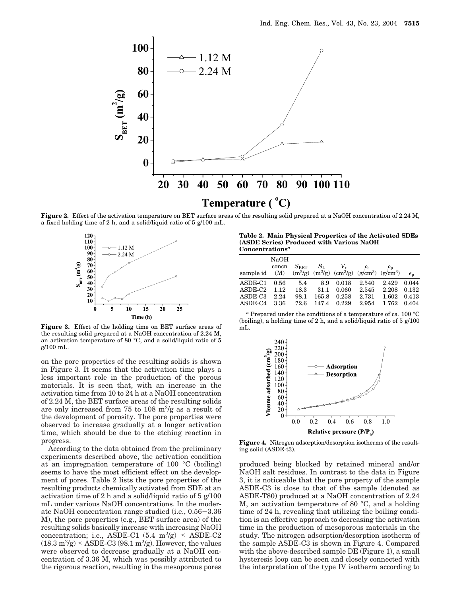

**Figure 2.** Effect of the activation temperature on BET surface areas of the resulting solid prepared at a NaOH concentration of 2.24 M, a fixed holding time of 2 h, and a solid/liquid ratio of 5 g/100 mL.



**Figure 3.** Effect of the holding time on BET surface areas of the resulting solid prepared at a NaOH concentration of 2.24 M, an activation temperature of 80 °C, and a solid/liquid ratio of 5 g/100 mL.

on the pore properties of the resulting solids is shown in Figure 3. It seems that the activation time plays a less important role in the production of the porous materials. It is seen that, with an increase in the activation time from 10 to 24 h at a NaOH concentration of 2.24 M, the BET surface areas of the resulting solids are only increased from 75 to 108  $\mathrm{m}^2/\mathrm{g}$  as a result of the development of porosity. The pore properties were observed to increase gradually at a longer activation time, which should be due to the etching reaction in progress.

According to the data obtained from the preliminary experiments described above, the activation condition at an impregnation temperature of 100 °C (boiling) seems to have the most efficient effect on the development of pores. Table 2 lists the pore properties of the resulting products chemically activated from SDE at an activation time of 2 h and a solid/liquid ratio of 5 g/100 mL under various NaOH concentrations. In the moderate NaOH concentration range studied (i.e., 0.56-3.36 M), the pore properties (e.g., BET surface area) of the resulting solids basically increase with increasing NaOH concentration; i.e., ASDE-C1  $(5.4 \text{ m}^2/\text{g})$  < ASDE-C2  $(18.3 \text{ m}^2/\text{g}) <$  ASDE-C3 (98.1 m<sup>2</sup>/g). However, the values were observed to decrease gradually at a NaOH concentration of 3.36 M, which was possibly attributed to the rigorous reaction, resulting in the mesoporous pores

**Table 2. Main Physical Properties of the Activated SDEs (ASDE Series) Produced with Various NaOH Concentrations***<sup>a</sup>*

|                                                                    | NaOH  |               |             |       |                |                |                |
|--------------------------------------------------------------------|-------|---------------|-------------|-------|----------------|----------------|----------------|
|                                                                    | concn | $S_{\rm BET}$ | $S_{\rm L}$ | $V_t$ | $\rho_{\rm s}$ | $\rho_{\rm p}$ |                |
| sample id (M) $(m^2/g)$ $(m^2/g)$ $(cm^3/g)$ $(g/cm^3)$ $(g/cm^3)$ |       |               |             |       |                |                | $\epsilon_{n}$ |
| ASDE-C1                                                            | 0.56  | 5.4           | 8.9         | 0.018 | 2.540          | 2.429          | 0.044          |
| ASDE-C2                                                            | 1.12  | 18.3          | 31.1        | 0.060 | 2.545          | 2.208          | 0.132          |
| ASDE-C3                                                            | 2.24  | 98.1          | 165.8       | 0.258 | 2.731          | 1.602          | 0.413          |
| ASDE-C4                                                            | 3.36  | 72.6          | 147.4       | 0.229 | 2.954          | 1.762          | 0.404          |
|                                                                    |       |               |             |       |                |                |                |

*<sup>a</sup>* Prepared under the conditions of a temperature of ca*.* 100 °C  $(boiling)$ , a holding time of 2 h, and a solid/liquid ratio of 5  $g/100$ mL.



**Figure 4.** Nitrogen adsorption/desorption isotherms of the resulting solid (ASDE-t3).

produced being blocked by retained mineral and/or NaOH salt residues. In contrast to the data in Figure 3, it is noticeable that the pore property of the sample ASDE-C3 is close to that of the sample (denoted as ASDE-T80) produced at a NaOH concentration of 2.24 M, an activation temperature of 80 °C, and a holding time of 24 h, revealing that utilizing the boiling condition is an effective approach to decreasing the activation time in the production of mesoporous materials in the study. The nitrogen adsorption/desorption isotherm of the sample ASDE-C3 is shown in Figure 4. Compared with the above-described sample DE (Figure 1), a small hysteresis loop can be seen and closely connected with the interpretation of the type IV isotherm according to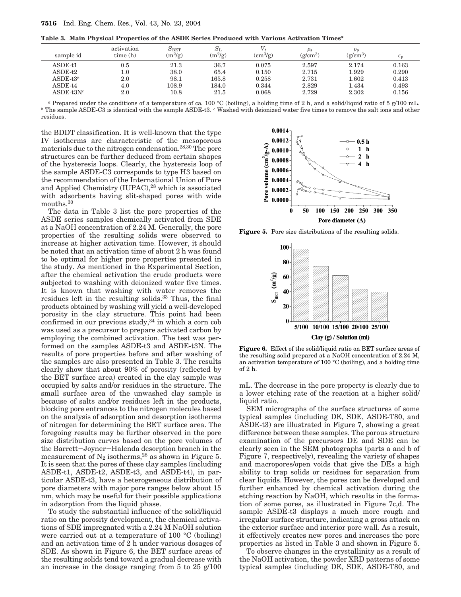**Table 3. Main Physical Properties of the ASDE Series Produced with Various Activation Times***<sup>a</sup>*

| sample id    | activation<br>time(h) | $S_{\rm BET}$<br>$(m^2/g)$ | $S_{\rm L}$<br>$(m^2/g)$ | $\rm (cm^3/g)$ | $\rho_{\rm s}$<br>$(g/cm^3)$ | $\rho_{\rm{p}}$<br>$(g/cm^3)$ | ŧп    |
|--------------|-----------------------|----------------------------|--------------------------|----------------|------------------------------|-------------------------------|-------|
| $ASDE-t1$    | $\rm 0.5$             | $^{21.3}$                  | 36.7                     | 0.075          | 2.597                        | 2.174                         | 0.163 |
| $ASDE-t2$    | 1.0                   | 38.0                       | 65.4                     | 0.150          | 2.715                        | 1.929                         | 0.290 |
| ASDE-t $3^b$ | 2.0                   | 98.1                       | 165.8                    | 0.258          | 2.731                        | 1.602                         | 0.413 |
| $ASDE-t4$    | 4.0                   | 108.9                      | 184.0                    | 0.344          | 2.829                        | 1.434                         | 0.493 |
| $ASDE-t3Nc$  | 2.0                   | 10.8                       | 21.5                     | 0.068          | 2.729                        | 2.302                         | 0.156 |

*<sup>a</sup>* Prepared under the conditions of a temperature of ca*.* 100 °C (boiling), a holding time of 2 h, and a solid/liquid ratio of 5 g/100 mL. *<sup>b</sup>* The sample ASDE-C3 is identical with the sample ASDE-t3. *<sup>c</sup>* Washed with deionized water five times to remove the salt ions and other residues.

the BDDT classification. It is well-known that the type IV isotherms are characteristic of the mesoporous materials due to the nitrogen condensation.28,30 The pore structures can be further deduced from certain shapes of the hysteresis loops. Clearly, the hysteresis loop of the sample ASDE-C3 corresponds to type H3 based on the recommendation of the International Union of Pure and Applied Chemistry (IUPAC),<sup>28</sup> which is associated with adsorbents having slit-shaped pores with wide mouths.30

The data in Table 3 list the pore properties of the ASDE series samples chemically activated from SDE at a NaOH concentration of 2.24 M. Generally, the pore properties of the resulting solids were observed to increase at higher activation time. However, it should be noted that an activation time of about 2 h was found to be optimal for higher pore properties presented in the study. As mentioned in the Experimental Section, after the chemical activation the crude products were subjected to washing with deionized water five times. It is known that washing with water removes the residues left in the resulting solids.33 Thus, the final products obtained by washing will yield a well-developed porosity in the clay structure. This point had been confirmed in our previous study,<sup>34</sup> in which a corn cob was used as a precursor to prepare activated carbon by employing the combined activation. The test was performed on the samples ASDE-t3 and ASDE-t3N. The results of pore properties before and after washing of the samples are also presented in Table 3. The results clearly show that about 90% of porosity (reflected by the BET surface area) created in the clay sample was occupied by salts and/or residues in the structure. The small surface area of the unwashed clay sample is because of salts and/or residues left in the products, blocking pore entrances to the nitrogen molecules based on the analysis of adsorption and desorption isotherms of nitrogen for determining the BET surface area. The foregoing results may be further observed in the pore size distribution curves based on the pore volumes of the Barrett-Joyner-Halenda desorption branch in the the Barrett–Joyner–Halenda desorption branch in the<br>measurement of N<sub>2</sub> isotherms,<sup>28</sup> as shown in Figure 5. It is seen that the pores of these clay samples (including ASDE-t1, ASDE-t2, ASDE-t3, and ASDE-t4), in particular ASDE-t3, have a heterogeneous distribution of pore diameters with major pore ranges below about 15 nm, which may be useful for their possible applications in adsorption from the liquid phase.

To study the substantial influence of the solid/liquid ratio on the porosity development, the chemical activations of SDE impregnated with a 2.24 M NaOH solution were carried out at a temperature of 100 °C (boiling) and an activation time of 2 h under various dosages of SDE. As shown in Figure 6, the BET surface areas of the resulting solids tend toward a gradual decrease with an increase in the dosage ranging from 5 to 25 g/100



Figure 5. Pore size distributions of the resulting solids.



**Figure 6.** Effect of the solid/liquid ratio on BET surface areas of the resulting solid prepared at a NaOH concentration of 2.24 M, an activation temperature of 100 °C (boiling), and a holding time of 2 h.

mL. The decrease in the pore property is clearly due to a lower etching rate of the reaction at a higher solid/ liquid ratio.

SEM micrographs of the surface structures of some typical samples (including DE, SDE, ASDE-T80, and ASDE-t3) are illustrated in Figure 7, showing a great difference between these samples. The porous structure examination of the precursors DE and SDE can be clearly seen in the SEM photographs (parts a and b of Figure 7, respectively), revealing the variety of shapes and macropores/open voids that give the DEs a high ability to trap solids or residues for separation from clear liquids. However, the pores can be developed and further enhanced by chemical activation during the etching reaction by NaOH, which results in the formation of some pores, as illustrated in Figure 7c,d. The sample ASDE-t3 displays a much more rough and irregular surface structure, indicating a gross attack on the exterior surface and interior pore wall. As a result, it effectively creates new pores and increases the pore properties as listed in Table 3 and shown in Figure 5.

To observe changes in the crystallinity as a result of the NaOH activation, the powder XRD patterns of some typical samples (including DE, SDE, ASDE-T80, and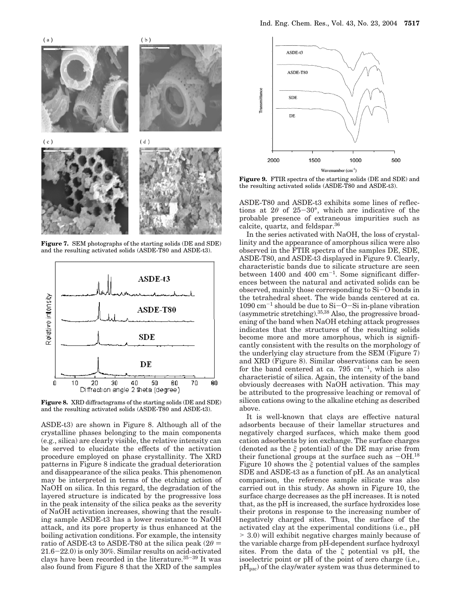

**Figure 7.** SEM photographs of the starting solids (DE and SDE) and the resulting activated solids (ASDE-T80 and ASDE-t3).



**Figure 8.** XRD diffractograms of the starting solids (DE and SDE) and the resulting activated solids (ASDE-T80 and ASDE-t3).

ASDE-t3) are shown in Figure 8. Although all of the crystalline phases belonging to the main components (e.g., silica) are clearly visible, the relative intensity can be served to elucidate the effects of the activation procedure employed on phase crystallinity. The XRD patterns in Figure 8 indicate the gradual deterioration and disappearance of the silica peaks. This phenomenon may be interpreted in terms of the etching action of NaOH on silica. In this regard, the degradation of the layered structure is indicated by the progressive loss in the peak intensity of the silica peaks as the severity of NaOH activation increases, showing that the resulting sample ASDE-t3 has a lower resistance to NaOH attack, and its pore property is thus enhanced at the boiling activation conditions. For example, the intensity ratio of ASDE-t3 to ASDE-T80 at the silica peak  $(2\theta = 21.6 - 22.0)$  is only 30%. Similar results on acid-activated 21.6-22.0) is only 30%. Similar results on acid-activated clays have been recorded in the literature.35-<sup>39</sup> It was also found from Figure 8 that the XRD of the samples



**Figure 9.** FTIR spectra of the starting solids (DE and SDE) and the resulting activated solids (ASDE-T80 and ASDE-t3).

ASDE-T80 and ASDE-t3 exhibits some lines of reflections at  $2\theta$  of  $25-30^{\circ}$ , which are indicative of the probable presence of extraneous impurities such as calcite, quartz, and feldspar.36

In the series activated with NaOH, the loss of crystallinity and the appearance of amorphous silica were also observed in the FTIR spectra of the samples DE, SDE, ASDE-T80, and ASDE-t3 displayed in Figure 9. Clearly, characteristic bands due to silicate structure are seen between  $1400$  and  $400$  cm<sup>-1</sup>. Some significant differences between the natural and activated solids can be observed, mainly those corresponding to Si-O bonds in the tetrahedral sheet. The wide bands centered at ca.  $1090 \text{ cm}^{-1}$  should be due to Si-O-Si in-plane vibration (asymmetric stretching).35,38 Also, the progressive broadening of the band when NaOH etching attack progresses indicates that the structures of the resulting solids become more and more amorphous, which is significantly consistent with the results on the morphology of the underlying clay structure from the SEM (Figure 7) and XRD (Figure 8). Similar observations can be seen for the band centered at ca.  $795 \text{ cm}^{-1}$ , which is also characteristic of silica. Again, the intensity of the band obviously decreases with NaOH activation. This may be attributed to the progressive leaching or removal of silicon cations owing to the alkaline etching as described above.

It is well-known that clays are effective natural adsorbents because of their lamellar structures and negatively charged surfaces, which make them good cation adsorbents by ion exchange. The surface charges (denoted as the *ê* potential) of the DE may arise from their functional groups at the surface such as  $-OH$ .<sup>18</sup> Figure 10 shows the *ê* potential values of the samples SDE and ASDE-t3 as a function of pH. As an analytical comparison, the reference sample silicate was also carried out in this study. As shown in Figure 10, the surface charge decreases as the pH increases. It is noted that, as the pH is increased, the surface hydroxides lose their protons in response to the increasing number of negatively charged sites. Thus, the surface of the activated clay at the experimental conditions (i.e., pH > 3.0) will exhibit negative charges mainly because of the variable charge from pH-dependent surface hydroxyl sites. From the data of the  $\zeta$  potential vs pH, the isoelectric point or pH of the point of zero charge (i.e.,  $pH_{pzc}$ ) of the clay/water system was thus determined to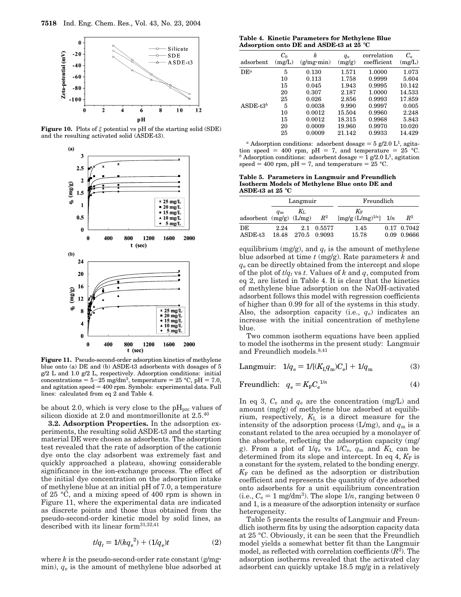

**Figure 10.** Plots of  $\xi$  potential vs pH of the starting solid (SDE) and the resulting activated solid (ASDE-t3).



**Figure 11.** Pseudo-second-order adsorption kinetics of methylene blue onto (a) DE and (b) ASDE-t3 adsorbents with dosages of 5 g/2 L and 1.0 g/2 L, respectively. Adsorption conditions: initial concentrations =  $5-25$  mg/dm<sup>3</sup>, temperature =  $25$  °C, pH = 7.0, and agitation  $speed = 400$  rpm. Symbols: experimental data. Full lines: calculated from eq 2 and Table 4.

be about 2.0, which is very close to the  $\rm pH_{pze}$  values of silicon dioxide at 2.0 and montmorillonite at  $2.5^{40}$ 

**3.2. Adsorption Properties.** In the adsorption experiments, the resulting solid ASDE-t3 and the starting material DE were chosen as adsorbents. The adsorption test revealed that the rate of adsorption of the cationic dye onto the clay adsorbent was extremely fast and quickly approached a plateau, showing considerable significance in the ion-exchange process. The effect of the initial dye concentration on the adsorption intake of methylene blue at an initial pH of 7.0, a temperature of 25 °C, and a mixing speed of 400 rpm is shown in Figure 11, where the experimental data are indicated as discrete points and those thus obtained from the pseudo-second-order kinetic model by solid lines, as described with its linear form31,32,41

$$
t/q_t = 1/(kq_e^2) + (1/q_e)t \tag{2}
$$

where  $k$  is the pseudo-second-order rate constant  $(g/mg)$ min), *q*<sup>e</sup> is the amount of methylene blue adsorbed at

**Table 4. Kinetic Parameters for Methylene Blue Adsorption onto DE and ASDE-t3 at 25** °**C**

| adsorbent   | $C_0$<br>(mg/L) | k<br>(g/mg·min) | $q_{e}$<br>(mg/g) | correlation<br>coefficient | $C_{\rm e}$<br>(mg/L) |
|-------------|-----------------|-----------------|-------------------|----------------------------|-----------------------|
| $DE^a$      | 5               | 0.130           | 1.571             | 1.0000                     | 1.073                 |
|             | 10              | 0.113           | 1.758             | 0.9999                     | 5.604                 |
|             | 15              | 0.045           | 1.943             | 0.9995                     | 10.142                |
|             | 20              | 0.307           | 2.187             | 1.0000                     | 14.533                |
|             | 25              | 0.026           | 2.856             | 0.9993                     | 17.859                |
| ASDE- $t3b$ | 5               | 0.0038          | 9.990             | 0.9997                     | 0.005                 |
|             | 10              | 0.0012          | 15.504            | 0.9960                     | 2.248                 |
|             | 15              | 0.0012          | 18.315            | 0.9968                     | 5.843                 |
|             | 20              | 0.0009          | 19.960            | 0.9970                     | 10.020                |
|             | 25              | 0.0009          | 21.142            | 0.9933                     | 14.429                |

<sup>*a*</sup> Adsorption conditions: adsorbent dosage =  $5$  g/2.0 L<sup>1</sup>, agitation speed = 400 rpm, pH = 7, and temperature =  $25$  °C. <sup>b</sup> Adsorption conditions: adsorbent dosage  $=$  1 g/2.0 L<sup>1</sup>, agitation speed = 400 rpm,  $pH = 7$ , and temperature = 25 °C.

**Table 5. Parameters in Langmuir and Freundlich Isotherm Models of Methylene Blue onto DE and ASDE-t3 at 25** °**C**

|                             |               | Langmuir         |            | Freundlich                                            |  |                            |
|-----------------------------|---------------|------------------|------------|-------------------------------------------------------|--|----------------------------|
| adsorbent $(mg/g)$ $(L/mg)$ | $q_{\rm m}$   | $K_{\mathrm{L}}$ | $\,R^2$    | $K_{\mathrm{F}}$<br>$[mg/g (L/mg)^{1/n}]$ 1/ <i>n</i> |  | $\mathbb{R}^2$             |
| DE<br>$ASDE-13$             | 2.24<br>18.48 | 270.5 0.9093     | 2.1 0.5577 | 1.45<br>15.78                                         |  | 0.17 0.7042<br>0.09 0.9666 |

equilibrium (mg/g), and  $q_t$  is the amount of methylene blue adsorbed at time *t* (mg/g). Rate parameters *k* and *q*<sup>e</sup> can be directly obtained from the intercept and slope of the plot of  $t/q_t$  vs  $t$ . Values of  $k$  and  $q$ , computed from eq 2, are listed in Table 4. It is clear that the kinetics of methylene blue adsorption on the NaOH-activated adsorbent follows this model with regression coefficients of higher than 0.99 for all of the systems in this study. Also, the adsorption capacity (i.e.,  $q_e$ ) indicates an increase with the initial concentration of methylene blue.

Two common isotherm equations have been applied to model the isotherms in the present study: Langmuir and Freundlich models.<sup>8,41</sup>

Langmuir: 
$$
1/q_e = 1/[(K_{\text{L}}q_{\text{m}})C_e] + 1/q_{\text{m}}
$$
 (3)

$$
\text{Freundlich:} \quad q_{\text{e}} = K_{\text{F}} C_{\text{e}}^{1/n} \tag{4}
$$

In eq 3,  $C_e$  and  $q_e$  are the concentration (mg/L) and amount (mg/g) of methylene blue adsorbed at equilibrium, respectively, *K*<sup>L</sup> is a direct measure for the intensity of the adsorption process ( $L/mg$ ), and  $q<sub>m</sub>$  is a constant related to the area occupied by a monolayer of the absorbate, reflecting the adsorption capacity (mg/ g). From a plot of  $1/q_e$  vs  $1/C_e$ ,  $q_m$  and  $K_l$  can be determined from its slope and intercept. In eq  $4$ ,  $K_F$  is a constant for the system, related to the bonding energy.  $K_F$  can be defined as the adsorption or distribution coefficient and represents the quantity of dye adsorbed onto adsorbents for a unit equilibrium concentration (i.e.,  $C_e = 1$  mg/dm<sup>3</sup>). The slope  $1/n$ , ranging between 0 and 1, is a measure of the adsorption intensity or surface heterogeneity.

Table 5 presents the results of Langmuir and Freundlich isotherm fits by using the adsorption capacity data at 25 °C. Obviously, it can be seen that the Freundlich model yields a somewhat better fit than the Langmuir model, as reflected with correlation coefficients  $(R<sup>2</sup>)$ . The adsorption isotherms revealed that the activated clay adsorbent can quickly uptake 18.5 mg/g in a relatively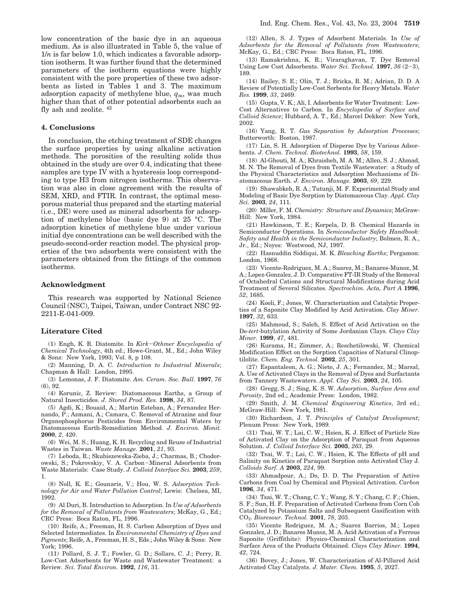low concentration of the basic dye in an aqueous medium. As is also illustrated in Table 5, the value of  $1/n$  is far below 1.0, which indicates a favorable adsorption isotherm. It was further found that the determined parameters of the isotherm equations were highly consistent with the pore properties of these two adsorbents as listed in Tables 1 and 3. The maximum adsorption capacity of methylene blue, *q*m, was much higher than that of other potential adsorbents such as fly ash and zeolite. <sup>42</sup>

#### **4. Conclusions**

In conclusion, the etching treatment of SDE changes the surface properties by using alkaline activation methods. The porosities of the resulting solids thus obtained in the study are over 0.4, indicating that these samples are type IV with a hysteresis loop corresponding to type H3 from nitrogen isotherms. This observation was also in close agreement with the results of SEM, XRD, and FTIR. In contrast, the optimal mesoporous material thus prepared and the starting material (i.e., DE) were used as mineral adsorbents for adsorption of methylene blue (basic dye 9) at 25 °C. The adsorption kinetics of methylene blue under various initial dye concentrations can be well described with the pseudo-second-order reaction model. The physical properties of the two adsorbents were consistent with the parameters obtained from the fittings of the common isotherms.

#### **Acknowledgment**

This research was supported by National Science Council (NSC), Taipei, Taiwan, under Contract NSC 92- 2211-E-041-009.

#### **Literature Cited**

(1) Engh, K. R. Diatomite. In *Kirk*-*Othmer Encyclopedia of Chemical Technology*, 4th ed.; Howe-Grant, M., Ed.; John Wiley & Sons: New York, 1993; Vol. 8, p 108.

(2) Manning, D. A. C. *Introduction to Industrial Minerals*; Chapman & Hall: London, 1995.

(3) Lemonas, J. F. Diatomite. *Am. Ceram. Soc. Bull.* **1997**, *76* (6), 92.

(4) Korunic, Z. Review: Diatomaceous Earths, a Group of Natural Insecticides. *J. Stored Prod. Res.* **1998**, *34*, 87.

(5) Agdi, K.; Bouaid, A.; Martin Esteban, A.; Fernandez Hernando, P.; Azmani, A.; Camara, C. Removal of Atrazine and four Organophosphorus Pesticides from Environmental Waters by Diatomaceous Earth-Remediation Method. *J. Environ. Monit.* **2000**, *2*, 420.

(6) Wei, M. S.; Huang, K. H. Recycling and Reuse of Industrial Wastes in Taiwan. *Waste Manage.* **2001**, *21*, 93.

(7) Leboda, R.; Skubiszewska-Zieba, J.; Charmas, B.; Chodorowski, S.; Pokrovskiy, V. A. Carbon-Mineral Adsorbents from Waste Materials: Case Study. *J. Colloid Interface Sci.* **2003**, *259*, 1.

(8) Noll, K. E.; Gounaris, V.; Hou, W. S. *Adsorption Technology for Air and Water Pollution Control*; Lewis: Chelsea, MI, 1992.

(9) Al Duri, B. Introduction to Adsorption. In *Use of Adsorbents for the Removal of Pollutants from Wastewaters*; McKay, G., Ed.; CRC Press: Boca Raton, FL, 1996.

(10) Reife, A.; Freeman, H. S. Carbon Adsorption of Dyes and Selected Intermediates. In *Environmental Chemistry of Dyes and Pigments*; Reife, A., Freeman, H. S., Eds.; John Wiley & Sons: New York; 1996.

(11) Pollard, S. J. T.; Fowler, G. D.; Sollars, C. J.; Perry, R. Low-Cost Adsorbents for Waste and Wastewater Treatment: a Review. *Sci. Total Environ.* **1992**, *116*, 31.

(12) Allen, S. J. Types of Adsorbent Materials. In *Use of Adsorbents for the Removal of Pollutants from Wastewaters*; McKay, G., Ed.; CRC Press: Boca Raton, FL, 1996.

(13) Ramakrishna, K. R.; Viraraghavan, T. Dye Removal Using Low Cost Adsorbents. *Water Sci. Technol.* **<sup>1997</sup>**, *<sup>36</sup>* (2-3), 189.

(14) Bailey, S. E.; Olin, T. J.; Bricka, R. M.; Adrian, D. D. A Review of Potentially Low-Cost Sorbents for Heavy Metals. *Water Res.* **1999**, *33*, 2469.

(15) Gupta, V. K.; Ali, I. Adsorbents for Water Treatment: Low-Cost Alternatives to Carbon. In *Encyclopedia of Surface and Colloid Science*; Hubbard, A. T., Ed.; Marcel Dekker: New York, 2002.

(16) Yang, R. T. *Gas Separation by Adsorption Processes*; Butterworth: Boston, 1987.

(17) Lin, S. H. Adsorption of Disperse Dye by Various Adsorbents. *J. Chem. Technol. Biotechnol.* **1993**, *58*, 159.

(18) Al-Ghouti, M. A.; Khraisheh, M. A. M.; Allen, S. J.; Ahmad, M. N. The Removal of Dyes from Textile Wastewater: a Study of the Physical Characteristics and Adsorption Mechanisms of Diatomaceous Earth. *J. Environ. Manage.* **2003**, *69*, 229.

(19) Shawabkeh, R. A.; Tutunji, M. F. Experimental Study and Modeling of Basic Dye Sorption by Diatomaceous Clay. *Appl. Clay Sci.* **2003**, *24*, 111.

(20) Miller, F. M. *Chemistry: Structure and Dynamics*; McGraw-Hill: New York, 1984.

(21) Hawkinson, T. E.; Korpela, D. B. Chemical Hazards in Semiconductor Operations. In *Semiconductor Safety Handbook: Safety and Health in the Semiconductor Industry*; Bolmen, R. A., Jr., Ed.; Noyes: Westwood, NJ, 1997.

(22) Hasnuddin Siddiqui, M. K. *Bleaching Earths*; Pergamon: London, 1968.

(23) Vicente-Rodriguez, M. A.; Suarez, M.; Banares-Munoz, M. A.; Lopez-Gonzalez, J. D. Comparative FT-IR Study of the Removal of Octahedral Cations and Structural Modifications during Acid Treatment of Several Silicates. *Spectrochim. Acta, Part A* **1996**, *52*, 1685.

(24) Kooli, F.; Jones, W. Characterization and Catalytic Properties of a Saponite Clay Modified by Acid Activation. *Clay Miner.* **1997**, *32*, 633.

(25) Mahmoud, S.; Saleh, S. Effect of Acid Activation on the De-*tert*-butylation Activity of Some Jordanian Clays. *Clays Clay Miner.* **1999**, *47*, 481.

(26) Kurama, H.; Zimmer, A.; Reschetilowski, W. Chemical Modification Effect on the Sorption Capacities of Natural Clinoptilolite. *Chem. Eng. Technol.* **2002**, *25*, 301.

(27) Espantaleon, A. G.; Nieto, J. A.; Fernandez, M.; Marsal, A. Use of Activated Clays in the Removal of Dyes and Surfactants from Tannery Wastewaters. *Appl. Clay Sci.* **2003**, *24*, 105.

(28) Gregg, S. J.; Sing, K. S. W. *Adsorption, Surface Area and Porosity*, 2nd ed.; Academic Press: London, 1982.

(29) Smith, J. M. *Chemical Engineering Kinetics*, 3rd ed.; McGraw-Hill: New York, 1981.

(30) Richardson, J. T. *Principles of Catalyst Development*; Plenum Press: New York, 1989.

(31) Tsai, W. T.; Lai, C. W.; Hsien, K. J. Effect of Particle Size of Activated Clay on the Adsorption of Paraquat from Aqueous Solution. *J. Colloid Interface Sci.* **2003**, *263*, 29.

(32) Tsai, W. T.; Lai, C. W.; Hsien, K. The Effects of pH and Salinity on Kinetics of Paraquat Sorption onto Activated Clay J*. Colloids Surf. A* **2003**, *224*, 99.

(33) Ahmadpour, A.; Do, D. D. The Preparation of Active Carbons from Coal by Chemical and Physical Activation. *Carbon* **1996**, *34*, 471.

(34) Tsai, W. T.; Chang, C. Y.; Wang, S. Y.; Chang, C. F.; Chien, S. F.; Sun, H. F. Preparation of Activated Carbons from Corn Cob Catalyzed by Potassium Salts and Subsequent Gasification with CO2. *Bioresour. Technol.* **2001**, *78*, 203.

(35) Vicente Rodriguez, M. A.; Suarez Barrios, M.; Lopez Gonzalez, J. D.; Banares Munoz, M. A. Acid Activation of a Ferrous Saponite (Griffithite): Physico-Chemical Characterization and Surface Area of the Products Obtained. *Clays Clay Miner.* **1994**, *42*, 724.

(36) Bovey, J.; Jones, W. Characterization of Al-Pillared Acid Activated Clay Catalysts. *J. Mater. Chem.* **1995**, *5*, 2027.